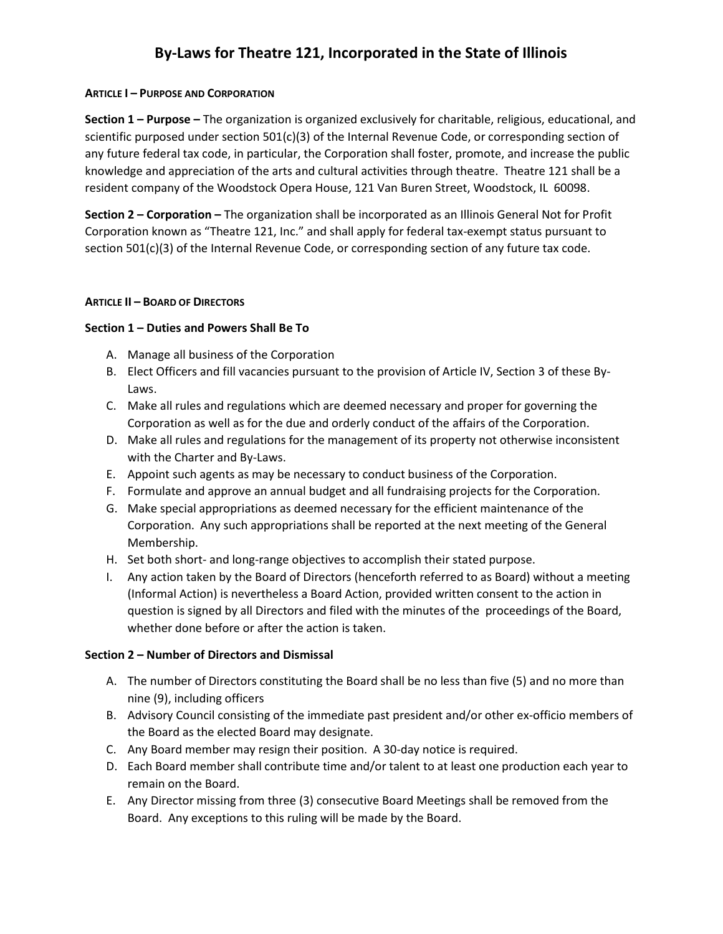# By-Laws for Theatre 121, Incorporated in the State of Illinois

### ARTICLE I – PURPOSE AND CORPORATION

Section 1 – Purpose – The organization is organized exclusively for charitable, religious, educational, and scientific purposed under section 501(c)(3) of the Internal Revenue Code, or corresponding section of any future federal tax code, in particular, the Corporation shall foster, promote, and increase the public knowledge and appreciation of the arts and cultural activities through theatre. Theatre 121 shall be a resident company of the Woodstock Opera House, 121 Van Buren Street, Woodstock, IL 60098.

Section 2 – Corporation – The organization shall be incorporated as an Illinois General Not for Profit Corporation known as "Theatre 121, Inc." and shall apply for federal tax-exempt status pursuant to section 501(c)(3) of the Internal Revenue Code, or corresponding section of any future tax code.

#### ARTICLE II – BOARD OF DIRECTORS

## Section 1 – Duties and Powers Shall Be To

- A. Manage all business of the Corporation
- B. Elect Officers and fill vacancies pursuant to the provision of Article IV, Section 3 of these By-Laws.
- C. Make all rules and regulations which are deemed necessary and proper for governing the Corporation as well as for the due and orderly conduct of the affairs of the Corporation.
- D. Make all rules and regulations for the management of its property not otherwise inconsistent with the Charter and By-Laws.
- E. Appoint such agents as may be necessary to conduct business of the Corporation.
- F. Formulate and approve an annual budget and all fundraising projects for the Corporation.
- G. Make special appropriations as deemed necessary for the efficient maintenance of the Corporation. Any such appropriations shall be reported at the next meeting of the General Membership.
- H. Set both short- and long-range objectives to accomplish their stated purpose.
- I. Any action taken by the Board of Directors (henceforth referred to as Board) without a meeting (Informal Action) is nevertheless a Board Action, provided written consent to the action in question is signed by all Directors and filed with the minutes of the proceedings of the Board, whether done before or after the action is taken.

## Section 2 – Number of Directors and Dismissal

- A. The number of Directors constituting the Board shall be no less than five (5) and no more than nine (9), including officers
- B. Advisory Council consisting of the immediate past president and/or other ex-officio members of the Board as the elected Board may designate.
- C. Any Board member may resign their position. A 30-day notice is required.
- D. Each Board member shall contribute time and/or talent to at least one production each year to remain on the Board.
- E. Any Director missing from three (3) consecutive Board Meetings shall be removed from the Board. Any exceptions to this ruling will be made by the Board.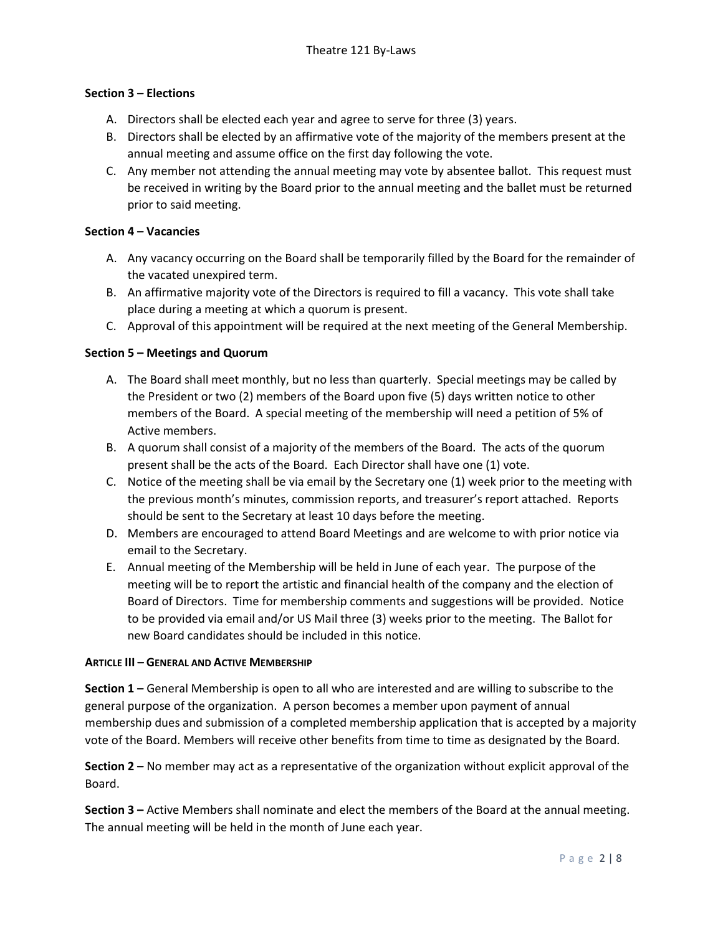## Section 3 – Elections

- A. Directors shall be elected each year and agree to serve for three (3) years.
- B. Directors shall be elected by an affirmative vote of the majority of the members present at the annual meeting and assume office on the first day following the vote.
- C. Any member not attending the annual meeting may vote by absentee ballot. This request must be received in writing by the Board prior to the annual meeting and the ballet must be returned prior to said meeting.

## Section 4 – Vacancies

- A. Any vacancy occurring on the Board shall be temporarily filled by the Board for the remainder of the vacated unexpired term.
- B. An affirmative majority vote of the Directors is required to fill a vacancy. This vote shall take place during a meeting at which a quorum is present.
- C. Approval of this appointment will be required at the next meeting of the General Membership.

## Section 5 – Meetings and Quorum

- A. The Board shall meet monthly, but no less than quarterly. Special meetings may be called by the President or two (2) members of the Board upon five (5) days written notice to other members of the Board. A special meeting of the membership will need a petition of 5% of Active members.
- B. A quorum shall consist of a majority of the members of the Board. The acts of the quorum present shall be the acts of the Board. Each Director shall have one (1) vote.
- C. Notice of the meeting shall be via email by the Secretary one (1) week prior to the meeting with the previous month's minutes, commission reports, and treasurer's report attached. Reports should be sent to the Secretary at least 10 days before the meeting.
- D. Members are encouraged to attend Board Meetings and are welcome to with prior notice via email to the Secretary.
- E. Annual meeting of the Membership will be held in June of each year. The purpose of the meeting will be to report the artistic and financial health of the company and the election of Board of Directors. Time for membership comments and suggestions will be provided. Notice to be provided via email and/or US Mail three (3) weeks prior to the meeting. The Ballot for new Board candidates should be included in this notice.

#### ARTICLE III – GENERAL AND ACTIVE MEMBERSHIP

Section 1 – General Membership is open to all who are interested and are willing to subscribe to the general purpose of the organization. A person becomes a member upon payment of annual membership dues and submission of a completed membership application that is accepted by a majority vote of the Board. Members will receive other benefits from time to time as designated by the Board.

Section 2 – No member may act as a representative of the organization without explicit approval of the Board.

Section 3 – Active Members shall nominate and elect the members of the Board at the annual meeting. The annual meeting will be held in the month of June each year.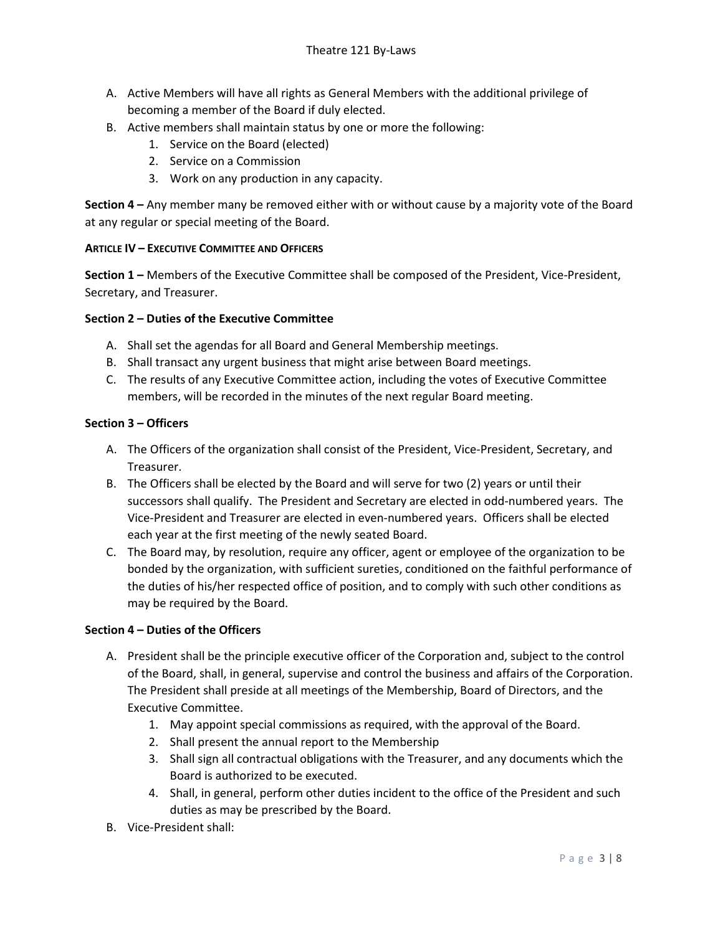- A. Active Members will have all rights as General Members with the additional privilege of becoming a member of the Board if duly elected.
- B. Active members shall maintain status by one or more the following:
	- 1. Service on the Board (elected)
	- 2. Service on a Commission
	- 3. Work on any production in any capacity.

Section 4 – Any member many be removed either with or without cause by a majority vote of the Board at any regular or special meeting of the Board.

#### ARTICLE IV – EXECUTIVE COMMITTEE AND OFFICERS

Section 1 – Members of the Executive Committee shall be composed of the President, Vice-President, Secretary, and Treasurer.

#### Section 2 – Duties of the Executive Committee

- A. Shall set the agendas for all Board and General Membership meetings.
- B. Shall transact any urgent business that might arise between Board meetings.
- C. The results of any Executive Committee action, including the votes of Executive Committee members, will be recorded in the minutes of the next regular Board meeting.

#### Section 3 – Officers

- A. The Officers of the organization shall consist of the President, Vice-President, Secretary, and Treasurer.
- B. The Officers shall be elected by the Board and will serve for two (2) years or until their successors shall qualify. The President and Secretary are elected in odd-numbered years. The Vice-President and Treasurer are elected in even-numbered years. Officers shall be elected each year at the first meeting of the newly seated Board.
- C. The Board may, by resolution, require any officer, agent or employee of the organization to be bonded by the organization, with sufficient sureties, conditioned on the faithful performance of the duties of his/her respected office of position, and to comply with such other conditions as may be required by the Board.

## Section 4 – Duties of the Officers

- A. President shall be the principle executive officer of the Corporation and, subject to the control of the Board, shall, in general, supervise and control the business and affairs of the Corporation. The President shall preside at all meetings of the Membership, Board of Directors, and the Executive Committee.
	- 1. May appoint special commissions as required, with the approval of the Board.
	- 2. Shall present the annual report to the Membership
	- 3. Shall sign all contractual obligations with the Treasurer, and any documents which the Board is authorized to be executed.
	- 4. Shall, in general, perform other duties incident to the office of the President and such duties as may be prescribed by the Board.
- B. Vice-President shall: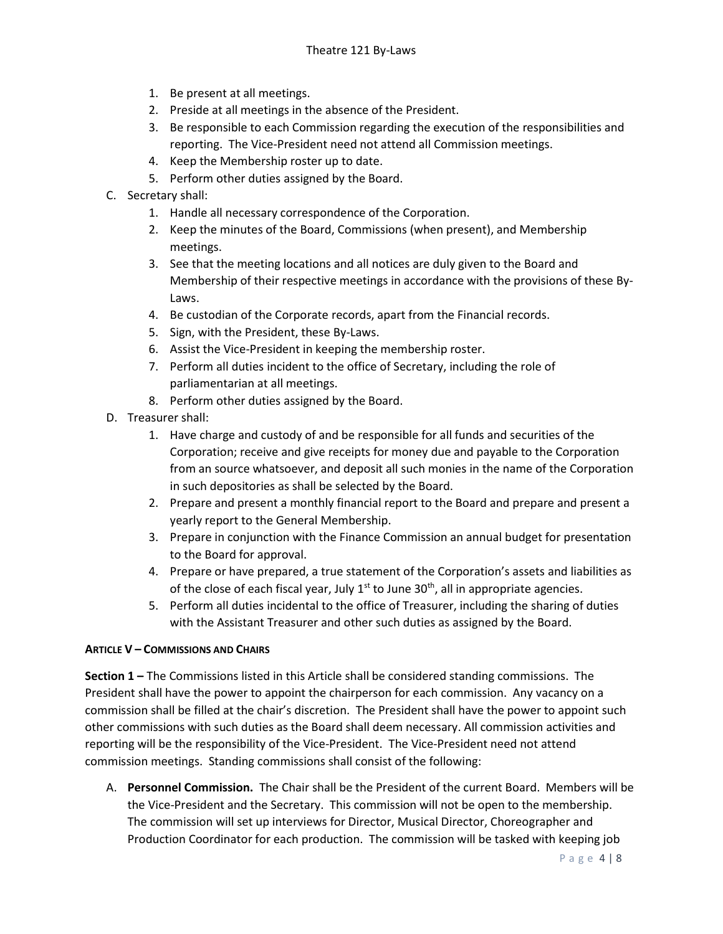- 1. Be present at all meetings.
- 2. Preside at all meetings in the absence of the President.
- 3. Be responsible to each Commission regarding the execution of the responsibilities and reporting. The Vice-President need not attend all Commission meetings.
- 4. Keep the Membership roster up to date.
- 5. Perform other duties assigned by the Board.
- C. Secretary shall:
	- 1. Handle all necessary correspondence of the Corporation.
	- 2. Keep the minutes of the Board, Commissions (when present), and Membership meetings.
	- 3. See that the meeting locations and all notices are duly given to the Board and Membership of their respective meetings in accordance with the provisions of these By-Laws.
	- 4. Be custodian of the Corporate records, apart from the Financial records.
	- 5. Sign, with the President, these By-Laws.
	- 6. Assist the Vice-President in keeping the membership roster.
	- 7. Perform all duties incident to the office of Secretary, including the role of parliamentarian at all meetings.
	- 8. Perform other duties assigned by the Board.
- D. Treasurer shall:
	- 1. Have charge and custody of and be responsible for all funds and securities of the Corporation; receive and give receipts for money due and payable to the Corporation from an source whatsoever, and deposit all such monies in the name of the Corporation in such depositories as shall be selected by the Board.
	- 2. Prepare and present a monthly financial report to the Board and prepare and present a yearly report to the General Membership.
	- 3. Prepare in conjunction with the Finance Commission an annual budget for presentation to the Board for approval.
	- 4. Prepare or have prepared, a true statement of the Corporation's assets and liabilities as of the close of each fiscal year, July  $1^{st}$  to June  $30^{th}$ , all in appropriate agencies.
	- 5. Perform all duties incidental to the office of Treasurer, including the sharing of duties with the Assistant Treasurer and other such duties as assigned by the Board.

## ARTICLE V – COMMISSIONS AND CHAIRS

Section 1 – The Commissions listed in this Article shall be considered standing commissions. The President shall have the power to appoint the chairperson for each commission. Any vacancy on a commission shall be filled at the chair's discretion. The President shall have the power to appoint such other commissions with such duties as the Board shall deem necessary. All commission activities and reporting will be the responsibility of the Vice-President. The Vice-President need not attend commission meetings. Standing commissions shall consist of the following:

A. Personnel Commission. The Chair shall be the President of the current Board. Members will be the Vice-President and the Secretary. This commission will not be open to the membership. The commission will set up interviews for Director, Musical Director, Choreographer and Production Coordinator for each production. The commission will be tasked with keeping job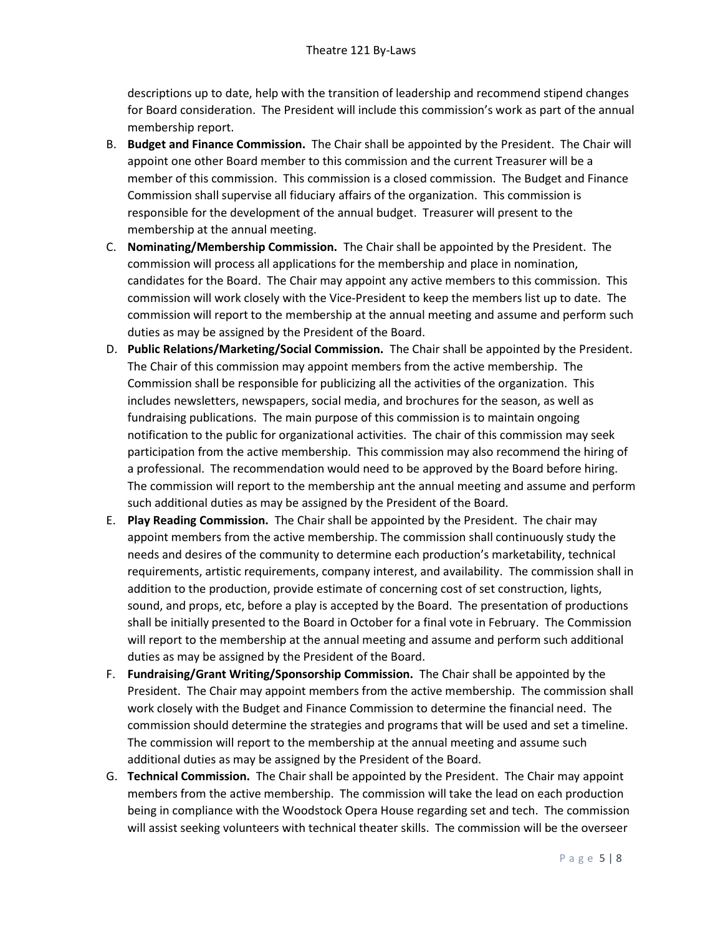descriptions up to date, help with the transition of leadership and recommend stipend changes for Board consideration. The President will include this commission's work as part of the annual membership report.

- B. Budget and Finance Commission. The Chair shall be appointed by the President. The Chair will appoint one other Board member to this commission and the current Treasurer will be a member of this commission. This commission is a closed commission. The Budget and Finance Commission shall supervise all fiduciary affairs of the organization. This commission is responsible for the development of the annual budget. Treasurer will present to the membership at the annual meeting.
- C. Nominating/Membership Commission. The Chair shall be appointed by the President. The commission will process all applications for the membership and place in nomination, candidates for the Board. The Chair may appoint any active members to this commission. This commission will work closely with the Vice-President to keep the members list up to date. The commission will report to the membership at the annual meeting and assume and perform such duties as may be assigned by the President of the Board.
- D. Public Relations/Marketing/Social Commission. The Chair shall be appointed by the President. The Chair of this commission may appoint members from the active membership. The Commission shall be responsible for publicizing all the activities of the organization. This includes newsletters, newspapers, social media, and brochures for the season, as well as fundraising publications. The main purpose of this commission is to maintain ongoing notification to the public for organizational activities. The chair of this commission may seek participation from the active membership. This commission may also recommend the hiring of a professional. The recommendation would need to be approved by the Board before hiring. The commission will report to the membership ant the annual meeting and assume and perform such additional duties as may be assigned by the President of the Board.
- E. Play Reading Commission. The Chair shall be appointed by the President. The chair may appoint members from the active membership. The commission shall continuously study the needs and desires of the community to determine each production's marketability, technical requirements, artistic requirements, company interest, and availability. The commission shall in addition to the production, provide estimate of concerning cost of set construction, lights, sound, and props, etc, before a play is accepted by the Board. The presentation of productions shall be initially presented to the Board in October for a final vote in February. The Commission will report to the membership at the annual meeting and assume and perform such additional duties as may be assigned by the President of the Board.
- F. Fundraising/Grant Writing/Sponsorship Commission. The Chair shall be appointed by the President. The Chair may appoint members from the active membership. The commission shall work closely with the Budget and Finance Commission to determine the financial need. The commission should determine the strategies and programs that will be used and set a timeline. The commission will report to the membership at the annual meeting and assume such additional duties as may be assigned by the President of the Board.
- G. Technical Commission. The Chair shall be appointed by the President. The Chair may appoint members from the active membership. The commission will take the lead on each production being in compliance with the Woodstock Opera House regarding set and tech. The commission will assist seeking volunteers with technical theater skills. The commission will be the overseer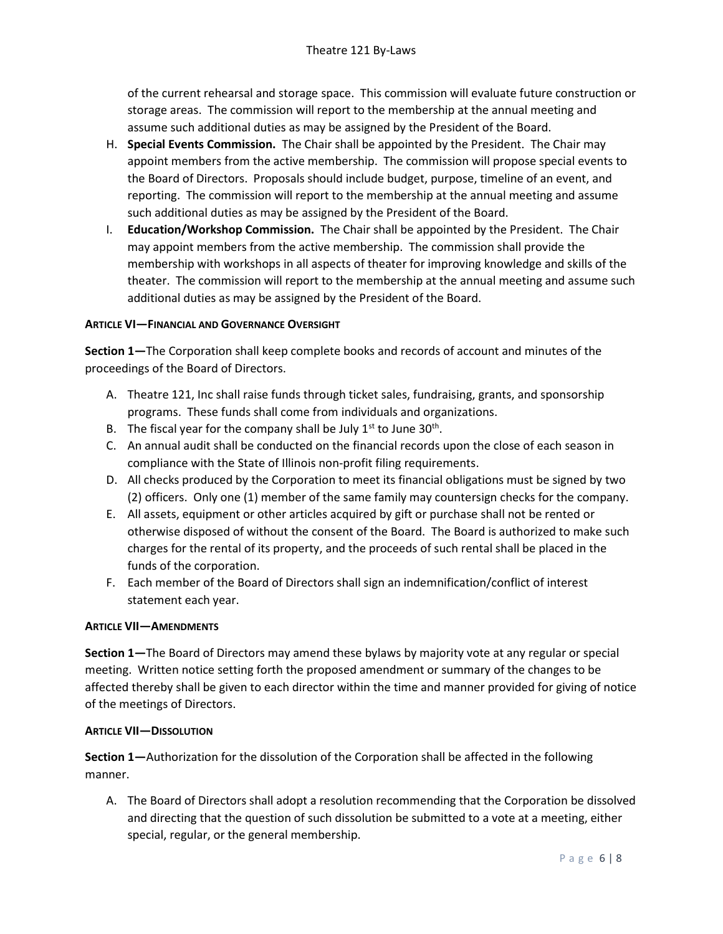of the current rehearsal and storage space. This commission will evaluate future construction or storage areas. The commission will report to the membership at the annual meeting and assume such additional duties as may be assigned by the President of the Board.

- H. Special Events Commission. The Chair shall be appointed by the President. The Chair may appoint members from the active membership. The commission will propose special events to the Board of Directors. Proposals should include budget, purpose, timeline of an event, and reporting. The commission will report to the membership at the annual meeting and assume such additional duties as may be assigned by the President of the Board.
- I. Education/Workshop Commission. The Chair shall be appointed by the President. The Chair may appoint members from the active membership. The commission shall provide the membership with workshops in all aspects of theater for improving knowledge and skills of the theater. The commission will report to the membership at the annual meeting and assume such additional duties as may be assigned by the President of the Board.

## ARTICLE VI—FINANCIAL AND GOVERNANCE OVERSIGHT

Section 1—The Corporation shall keep complete books and records of account and minutes of the proceedings of the Board of Directors.

- A. Theatre 121, Inc shall raise funds through ticket sales, fundraising, grants, and sponsorship programs. These funds shall come from individuals and organizations.
- B. The fiscal year for the company shall be July  $1<sup>st</sup>$  to June  $30<sup>th</sup>$ .
- C. An annual audit shall be conducted on the financial records upon the close of each season in compliance with the State of Illinois non-profit filing requirements.
- D. All checks produced by the Corporation to meet its financial obligations must be signed by two (2) officers. Only one (1) member of the same family may countersign checks for the company.
- E. All assets, equipment or other articles acquired by gift or purchase shall not be rented or otherwise disposed of without the consent of the Board. The Board is authorized to make such charges for the rental of its property, and the proceeds of such rental shall be placed in the funds of the corporation.
- F. Each member of the Board of Directors shall sign an indemnification/conflict of interest statement each year.

## ARTICLE VII—AMENDMENTS

Section 1—The Board of Directors may amend these bylaws by majority vote at any regular or special meeting. Written notice setting forth the proposed amendment or summary of the changes to be affected thereby shall be given to each director within the time and manner provided for giving of notice of the meetings of Directors.

## ARTICLE VII—DISSOLUTION

Section 1—Authorization for the dissolution of the Corporation shall be affected in the following manner.

A. The Board of Directors shall adopt a resolution recommending that the Corporation be dissolved and directing that the question of such dissolution be submitted to a vote at a meeting, either special, regular, or the general membership.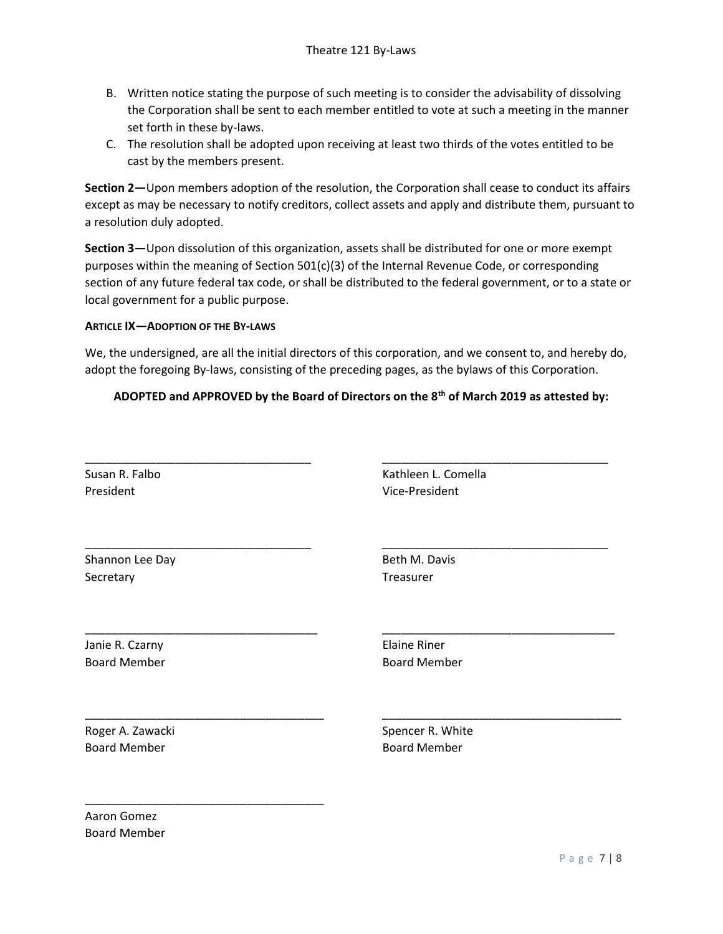- B. Written notice stating the purpose of such meeting is to consider the advisability of dissolving the Corporation shall be sent to each member entitled to vote at such a meeting in the manner set forth in these by-laws.
- C. The resolution shall be adopted upon receiving at least two thirds of the votes entitled to be cast by the members present.

Section 2—Upon members adoption of the resolution, the Corporation shall cease to conduct its affairs except as may be necessary to notify creditors, collect assets and apply and distribute them, pursuant to a resolution duly adopted.

Section 3—Upon dissolution of this organization, assets shall be distributed for one or more exempt purposes within the meaning of Section 501(c)(3) of the Internal Revenue Code, or corresponding section of any future federal tax code, or shall be distributed to the federal government, or to a state or local government for a public purpose.

#### ARTICLE IX—ADOPTION OF THE BY-LAWS

We, the undersigned, are all the initial directors of this corporation, and we consent to, and hereby do, adopt the foregoing By-laws, consisting of the preceding pages, as the bylaws of this Corporation.

## ADOPTED and APPROVED by the Board of Directors on the 8th of March 2019 as attested by:

| Susan R. Falbo      | Kathleen L. Comella |
|---------------------|---------------------|
| President           | Vice-President      |
| Shannon Lee Day     | Beth M. Davis       |
| Secretary           | Treasurer           |
| Janie R. Czarny     | <b>Elaine Riner</b> |
| <b>Board Member</b> | <b>Board Member</b> |
| Roger A. Zawacki    | Spencer R. White    |
| <b>Board Member</b> | <b>Board Member</b> |

Aaron Gomez Board Member